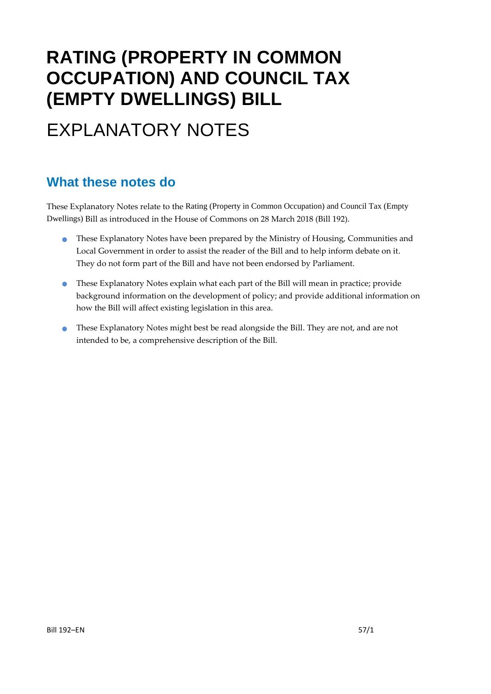# **RATING (PROPERTY IN COMMON OCCUPATION) AND COUNCIL TAX (EMPTY DWELLINGS) BILL**

# EXPLANATORY NOTES

### **What these notes do**

- These Explanatory Notes have been prepared by the Ministry of Housing, Communities and Local Government in order to assist the reader of the Bill and to help inform debate on it. They do not form part of the Bill and have not been endorsed by Parliament.
- These Explanatory Notes explain what each part of the Bill will mean in practice; provide background information on the development of policy; and provide additional information on how the Bill will affect existing legislation in this area.
- **•** These Explanatory Notes might best be read alongside the Bill. They are not, and are not intended to be, a comprehensive description of the Bill.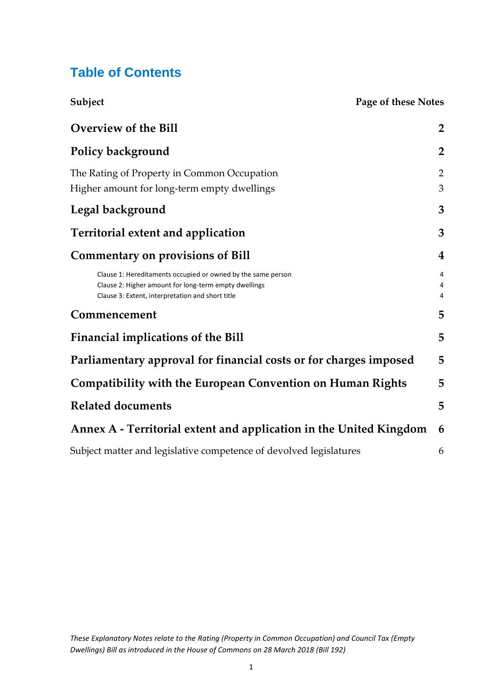### **Table of Contents**

| Subject<br><b>Page of these Notes</b>                                                                                                                                     |                     |
|---------------------------------------------------------------------------------------------------------------------------------------------------------------------------|---------------------|
| <b>Overview of the Bill</b>                                                                                                                                               | $\overline{2}$      |
| Policy background                                                                                                                                                         | $\overline{2}$      |
| The Rating of Property in Common Occupation<br>Higher amount for long-term empty dwellings                                                                                | $\overline{2}$<br>3 |
| Legal background                                                                                                                                                          | 3                   |
| <b>Territorial extent and application</b>                                                                                                                                 | 3                   |
| <b>Commentary on provisions of Bill</b>                                                                                                                                   | 4                   |
| Clause 1: Hereditaments occupied or owned by the same person<br>Clause 2: Higher amount for long-term empty dwellings<br>Clause 3: Extent, interpretation and short title | 4<br>4<br>4         |
| Commencement                                                                                                                                                              | 5                   |
| <b>Financial implications of the Bill</b>                                                                                                                                 | 5                   |
| Parliamentary approval for financial costs or for charges imposed                                                                                                         | 5                   |
| <b>Compatibility with the European Convention on Human Rights</b>                                                                                                         | 5                   |
| <b>Related documents</b>                                                                                                                                                  | 5                   |
| Annex A - Territorial extent and application in the United Kingdom                                                                                                        | 6                   |
| Subject matter and legislative competence of devolved legislatures                                                                                                        | 6                   |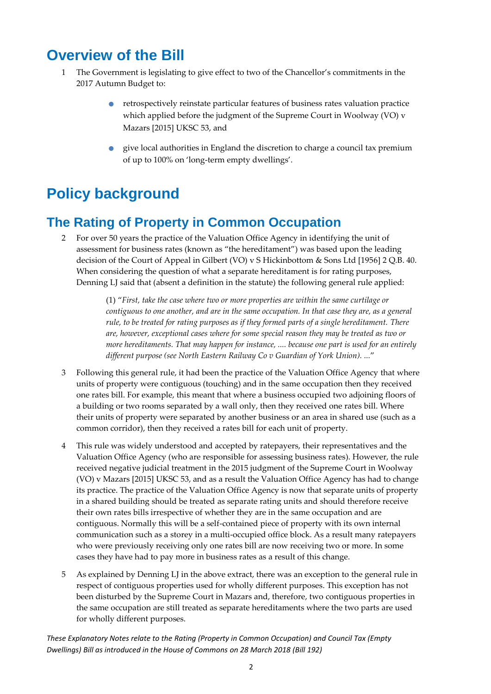### <span id="page-2-0"></span>**Overview of the Bill**

- 1 The Government is legislating to give effect to two of the Chancellor's commitments in the 2017 Autumn Budget to:
	- retrospectively reinstate particular features of business rates valuation practice which applied before the judgment of the Supreme Court in Woolway (VO) v Mazars [2015] UKSC 53, and
	- give local authorities in England the discretion to charge a council tax premium of up to 100% on 'long-term empty dwellings'.

## <span id="page-2-1"></span>**Policy background**

### <span id="page-2-2"></span>**The Rating of Property in Common Occupation**

2 For over 50 years the practice of the Valuation Office Agency in identifying the unit of assessment for business rates (known as "the hereditament") was based upon the leading decision of the Court of Appeal in Gilbert (VO) v S Hickinbottom & Sons Ltd [1956] 2 Q.B. 40. When considering the question of what a separate hereditament is for rating purposes, Denning LJ said that (absent a definition in the statute) the following general rule applied:

> (1) "*First, take the case where two or more properties are within the same curtilage or contiguous to one another, and are in the same occupation. In that case they are, as a general rule, to be treated for rating purposes as if they formed parts of a single hereditament. There are, however, exceptional cases where for some special reason they may be treated as two or more hereditaments. That may happen for instance, .... because one part is used for an entirely different purpose (see North Eastern Railway Co v Guardian of York Union). ...*"

- 3 Following this general rule, it had been the practice of the Valuation Office Agency that where units of property were contiguous (touching) and in the same occupation then they received one rates bill. For example, this meant that where a business occupied two adjoining floors of a building or two rooms separated by a wall only, then they received one rates bill. Where their units of property were separated by another business or an area in shared use (such as a common corridor), then they received a rates bill for each unit of property.
- 4 This rule was widely understood and accepted by ratepayers, their representatives and the Valuation Office Agency (who are responsible for assessing business rates). However, the rule received negative judicial treatment in the 2015 judgment of the Supreme Court in Woolway (VO) v Mazars [2015] UKSC 53, and as a result the Valuation Office Agency has had to change its practice. The practice of the Valuation Office Agency is now that separate units of property in a shared building should be treated as separate rating units and should therefore receive their own rates bills irrespective of whether they are in the same occupation and are contiguous. Normally this will be a self-contained piece of property with its own internal communication such as a storey in a multi-occupied office block. As a result many ratepayers who were previously receiving only one rates bill are now receiving two or more. In some cases they have had to pay more in business rates as a result of this change.
- 5 As explained by Denning LJ in the above extract, there was an exception to the general rule in respect of contiguous properties used for wholly different purposes. This exception has not been disturbed by the Supreme Court in Mazars and, therefore, two contiguous properties in the same occupation are still treated as separate hereditaments where the two parts are used for wholly different purposes.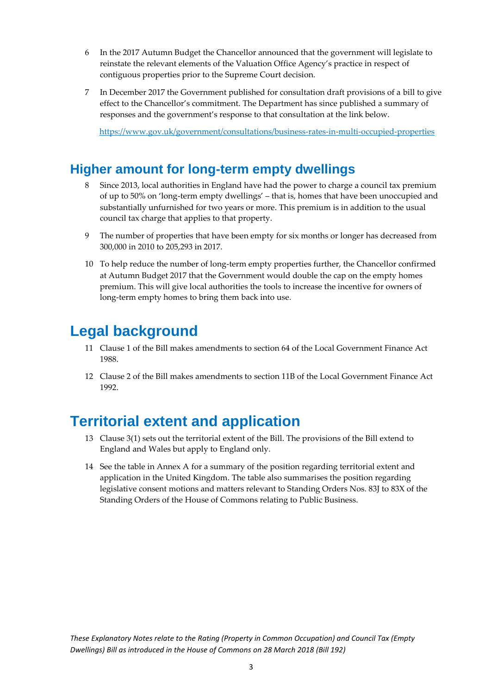- 6 In the 2017 Autumn Budget the Chancellor announced that the government will legislate to reinstate the relevant elements of the Valuation Office Agency's practice in respect of contiguous properties prior to the Supreme Court decision.
- 7 In December 2017 the Government published for consultation draft provisions of a bill to give effect to the Chancellor's commitment. The Department has since published a summary of responses and the government's response to that consultation at the link below.

<https://www.gov.uk/government/consultations/business-rates-in-multi-occupied-properties>

### <span id="page-3-0"></span>**Higher amount for long-term empty dwellings**

- Since 2013, local authorities in England have had the power to charge a council tax premium of up to 50% on 'long-term empty dwellings' – that is, homes that have been unoccupied and substantially unfurnished for two years or more. This premium is in addition to the usual council tax charge that applies to that property.
- 9 The number of properties that have been empty for six months or longer has decreased from 300,000 in 2010 to 205,293 in 2017.
- 10 To help reduce the number of long-term empty properties further, the Chancellor confirmed at Autumn Budget 2017 that the Government would double the cap on the empty homes premium. This will give local authorities the tools to increase the incentive for owners of long-term empty homes to bring them back into use.

## <span id="page-3-1"></span>**Legal background**

- 11 Clause 1 of the Bill makes amendments to section 64 of the Local Government Finance Act 1988.
- 12 Clause 2 of the Bill makes amendments to section 11B of the Local Government Finance Act 1992.

## <span id="page-3-2"></span>**Territorial extent and application**

- 13 Clause 3(1) sets out the territorial extent of the Bill. The provisions of the Bill extend to England and Wales but apply to England only.
- 14 See the table in Annex A for a summary of the position regarding territorial extent and application in the United Kingdom. The table also summarises the position regarding legislative consent motions and matters relevant to Standing Orders Nos. 83J to 83X of the Standing Orders of the House of Commons relating to Public Business.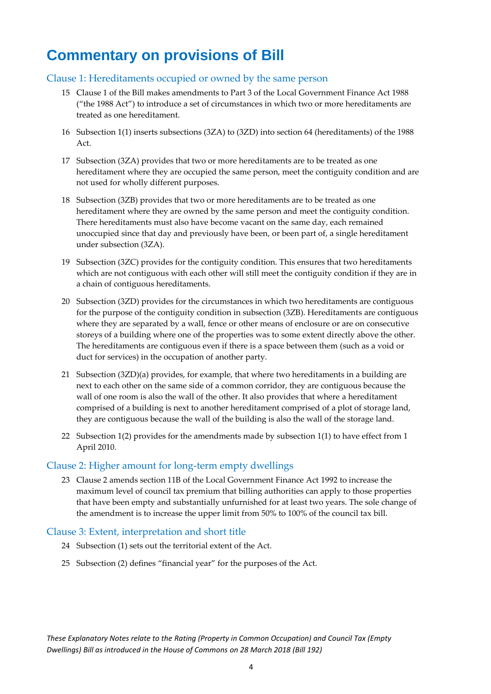## <span id="page-4-0"></span>**Commentary on provisions of Bill**

#### <span id="page-4-1"></span>Clause 1: Hereditaments occupied or owned by the same person

- 15 Clause 1 of the Bill makes amendments to Part 3 of the Local Government Finance Act 1988 ("the 1988 Act") to introduce a set of circumstances in which two or more hereditaments are treated as one hereditament.
- 16 Subsection 1(1) inserts subsections (3ZA) to (3ZD) into section 64 (hereditaments) of the 1988 Act.
- 17 Subsection (3ZA) provides that two or more hereditaments are to be treated as one hereditament where they are occupied the same person, meet the contiguity condition and are not used for wholly different purposes.
- 18 Subsection (3ZB) provides that two or more hereditaments are to be treated as one hereditament where they are owned by the same person and meet the contiguity condition. There hereditaments must also have become vacant on the same day, each remained unoccupied since that day and previously have been, or been part of, a single hereditament under subsection (3ZA).
- 19 Subsection (3ZC) provides for the contiguity condition. This ensures that two hereditaments which are not contiguous with each other will still meet the contiguity condition if they are in a chain of contiguous hereditaments.
- 20 Subsection (3ZD) provides for the circumstances in which two hereditaments are contiguous for the purpose of the contiguity condition in subsection (3ZB). Hereditaments are contiguous where they are separated by a wall, fence or other means of enclosure or are on consecutive storeys of a building where one of the properties was to some extent directly above the other. The hereditaments are contiguous even if there is a space between them (such as a void or duct for services) in the occupation of another party.
- 21 Subsection (3ZD)(a) provides, for example, that where two hereditaments in a building are next to each other on the same side of a common corridor, they are contiguous because the wall of one room is also the wall of the other. It also provides that where a hereditament comprised of a building is next to another hereditament comprised of a plot of storage land, they are contiguous because the wall of the building is also the wall of the storage land.
- 22 Subsection 1(2) provides for the amendments made by subsection 1(1) to have effect from 1 April 2010.

#### <span id="page-4-2"></span>Clause 2: Higher amount for long-term empty dwellings

23 Clause 2 amends section 11B of the Local Government Finance Act 1992 to increase the maximum level of council tax premium that billing authorities can apply to those properties that have been empty and substantially unfurnished for at least two years. The sole change of the amendment is to increase the upper limit from 50% to 100% of the council tax bill.

#### <span id="page-4-3"></span>Clause 3: Extent, interpretation and short title

- 24 Subsection (1) sets out the territorial extent of the Act.
- 25 Subsection (2) defines "financial year" for the purposes of the Act.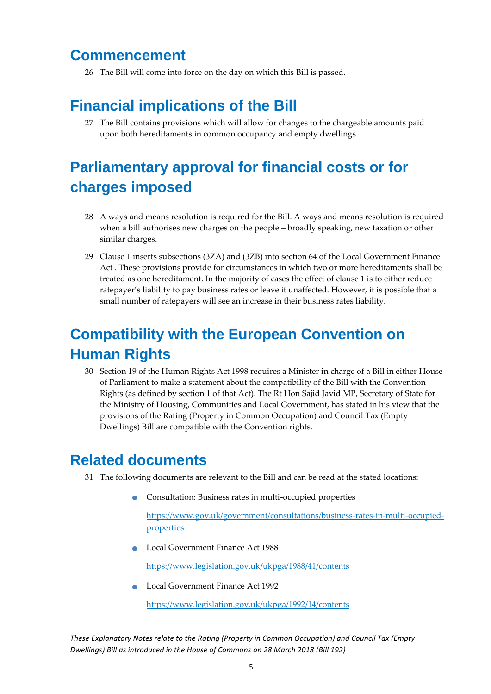### <span id="page-5-0"></span>**Commencement**

26 The Bill will come into force on the day on which this Bill is passed.

## <span id="page-5-1"></span>**Financial implications of the Bill**

27 The Bill contains provisions which will allow for changes to the chargeable amounts paid upon both hereditaments in common occupancy and empty dwellings.

## <span id="page-5-2"></span>**Parliamentary approval for financial costs or for charges imposed**

- 28 A ways and means resolution is required for the Bill. A ways and means resolution is required when a bill authorises new charges on the people – broadly speaking, new taxation or other similar charges.
- 29 Clause 1 inserts subsections (3ZA) and (3ZB) into section 64 of the Local Government Finance Act . These provisions provide for circumstances in which two or more hereditaments shall be treated as one hereditament. In the majority of cases the effect of clause 1 is to either reduce ratepayer's liability to pay business rates or leave it unaffected. However, it is possible that a small number of ratepayers will see an increase in their business rates liability.

## <span id="page-5-3"></span>**Compatibility with the European Convention on Human Rights**

30 Section 19 of the Human Rights Act 1998 requires a Minister in charge of a Bill in either House of Parliament to make a statement about the compatibility of the Bill with the Convention Rights (as defined by section 1 of that Act). The Rt Hon Sajid Javid MP, Secretary of State for the Ministry of Housing, Communities and Local Government, has stated in his view that the provisions of the Rating (Property in Common Occupation) and Council Tax (Empty Dwellings) Bill are compatible with the Convention rights.

## <span id="page-5-4"></span>**Related documents**

- 31 The following documents are relevant to the Bill and can be read at the stated locations:
	- Consultation: Business rates in multi-occupied properties

[https://www.gov.uk/government/consultations/business-rates-in-multi-occupied](https://www.gov.uk/government/consultations/business-rates-in-multi-occupied-properties)[properties](https://www.gov.uk/government/consultations/business-rates-in-multi-occupied-properties)

**Local Government Finance Act 1988** 

<https://www.legislation.gov.uk/ukpga/1988/41/contents>

**Cocal Government Finance Act 1992** 

<https://www.legislation.gov.uk/ukpga/1992/14/contents>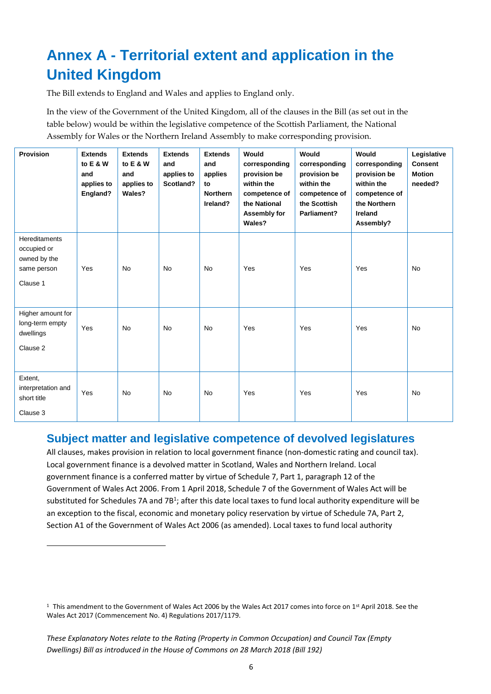## <span id="page-6-0"></span>**Annex A - Territorial extent and application in the United Kingdom**

The Bill extends to England and Wales and applies to England only.

In the view of the Government of the United Kingdom, all of the clauses in the Bill (as set out in the table below) would be within the legislative competence of the Scottish Parliament, the National Assembly for Wales or the Northern Ireland Assembly to make corresponding provision.

| <b>Provision</b>                                                               | <b>Extends</b><br>to E & W<br>and<br>applies to<br>England? | <b>Extends</b><br>to E & W<br>and<br>applies to<br>Wales? | <b>Extends</b><br>and<br>applies to<br>Scotland? | <b>Extends</b><br>and<br>applies<br>to<br><b>Northern</b><br>Ireland? | Would<br>corresponding<br>provision be<br>within the<br>competence of<br>the National<br>Assembly for<br>Wales? | Would<br>corresponding<br>provision be<br>within the<br>competence of<br>the Scottish<br>Parliament? | Would<br>corresponding<br>provision be<br>within the<br>competence of<br>the Northern<br><b>Ireland</b><br>Assembly? | Legislative<br><b>Consent</b><br><b>Motion</b><br>needed? |
|--------------------------------------------------------------------------------|-------------------------------------------------------------|-----------------------------------------------------------|--------------------------------------------------|-----------------------------------------------------------------------|-----------------------------------------------------------------------------------------------------------------|------------------------------------------------------------------------------------------------------|----------------------------------------------------------------------------------------------------------------------|-----------------------------------------------------------|
| <b>Hereditaments</b><br>occupied or<br>owned by the<br>same person<br>Clause 1 | Yes                                                         | <b>No</b>                                                 | <b>No</b>                                        | <b>No</b>                                                             | Yes                                                                                                             | Yes                                                                                                  | Yes                                                                                                                  | <b>No</b>                                                 |
| Higher amount for<br>long-term empty<br>dwellings<br>Clause 2                  | Yes                                                         | <b>No</b>                                                 | No                                               | <b>No</b>                                                             | Yes                                                                                                             | Yes                                                                                                  | Yes                                                                                                                  | No                                                        |
| Extent,<br>interpretation and<br>short title<br>Clause 3                       | Yes                                                         | <b>No</b>                                                 | No                                               | <b>No</b>                                                             | Yes                                                                                                             | Yes                                                                                                  | Yes                                                                                                                  | <b>No</b>                                                 |

#### <span id="page-6-1"></span>**Subject matter and legislative competence of devolved legislatures**

All clauses, makes provision in relation to local government finance (non-domestic rating and council tax). Local government finance is a devolved matter in Scotland, Wales and Northern Ireland. Local government finance is a conferred matter by virtue of Schedule 7, Part 1, paragraph 12 of the Government of Wales Act 2006. From 1 April 2018, Schedule 7 of the Government of Wales Act will be substituted for Schedules 7A and 7B<sup>1</sup>; after this date local taxes to fund local authority expenditure will be an exception to the fiscal, economic and monetary policy reservation by virtue of Schedule 7A, Part 2, Section A1 of the Government of Wales Act 2006 (as amended). Local taxes to fund local authority

1

<sup>&</sup>lt;sup>1</sup> This amendment to the Government of Wales Act 2006 by the Wales Act 2017 comes into force on 1<sup>st</sup> April 2018. See the Wales Act 2017 (Commencement No. 4) Regulations 2017/1179.

*These Explanatory Notes relate to the Rating (Property in Common Occupation) and Council Tax (Empty Dwellings) Bill as introduced in the House of Commons on 28 March 2018 (Bill 192)*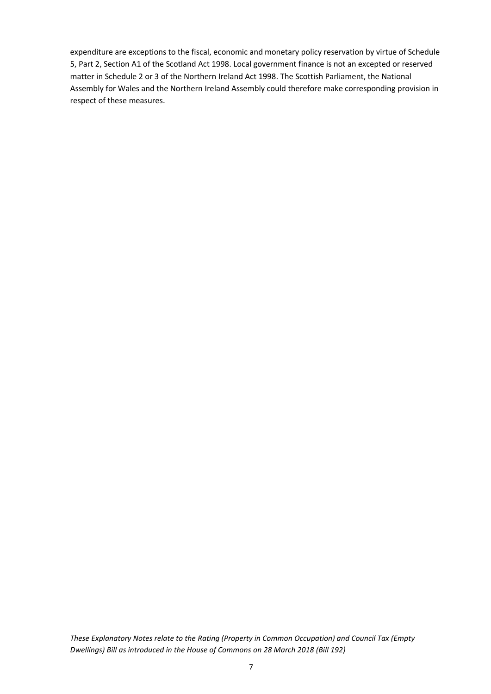expenditure are exceptions to the fiscal, economic and monetary policy reservation by virtue of Schedule 5, Part 2, Section A1 of the Scotland Act 1998. Local government finance is not an excepted or reserved matter in Schedule 2 or 3 of the Northern Ireland Act 1998. The Scottish Parliament, the National Assembly for Wales and the Northern Ireland Assembly could therefore make corresponding provision in respect of these measures.